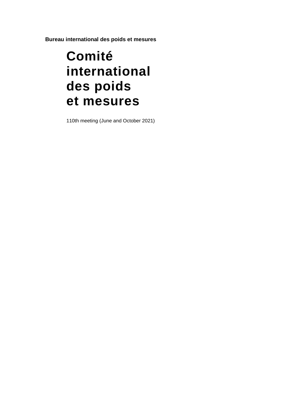**Bureau international des poids et mesures**

# **Comité international des poids et mesures**

110th meeting (June and October 2021)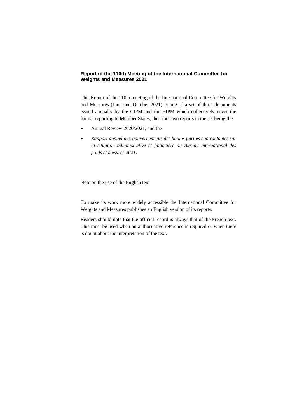#### **Report of the 110th Meeting of the International Committee for Weights and Measures 2021**

This Report of the 110th meeting of the International Committee for Weights and Measures (June and October 2021) is one of a set of three documents issued annually by the CIPM and the BIPM which collectively cover the formal reporting to Member States, the other two reports in the set being the:

- Annual Review 2020/2021, and the
- *Rapport annuel aux gouvernements des hautes parties contractantes sur la situation administrative et financière du Bureau international des poids et mesures 2021*.

Note on the use of the English text

To make its work more widely accessible the International Committee for Weights and Measures publishes an English version of its reports.

Readers should note that the official record is always that of the French text. This must be used when an authoritative reference is required or when there is doubt about the interpretation of the text.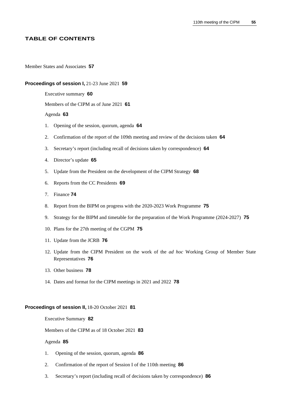#### **TABLE OF CONTENTS**

#### Member States and Associates **57**

#### **Proceedings of session I,** 21-23 June 2021 **59**

Executive summary **60**

Members of the CIPM as of June 2021 **61**

#### Agenda **63**

- 1. Opening of the session, quorum, agenda **64**
- 2. Confirmation of the report of the 109th meeting and review of the decisions taken **64**
- 3. Secretary's report (including recall of decisions taken by correspondence) **64**
- 4. Director's update **65**
- 5. Update from the President on the development of the CIPM Strategy **68**
- 6. Reports from the CC Presidents **69**
- 7. Finance **74**
- 8. Report from the BIPM on progress with the 2020-2023 Work Programme **75**
- 9. Strategy for the BIPM and timetable for the preparation of the Work Programme (2024-2027) **75**
- 10. Plans for the 27th meeting of the CGPM **75**
- 11. Update from the JCRB **76**
- 12. Update from the CIPM President on the work of the *ad hoc* Working Group of Member State Representatives **76**
- 13. Other business **78**
- 14. Dates and format for the CIPM meetings in 2021 and 2022 **78**

#### **Proceedings of session II,** 18-20 October 2021 **81**

#### Executive Summary **82**

Members of the CIPM as of 18 October 2021 **83**

#### Agenda **85**

- 1. Opening of the session, quorum, agenda **86**
- 2. Confirmation of the report of Session I of the 110th meeting **86**
- 3. Secretary's report (including recall of decisions taken by correspondence) **86**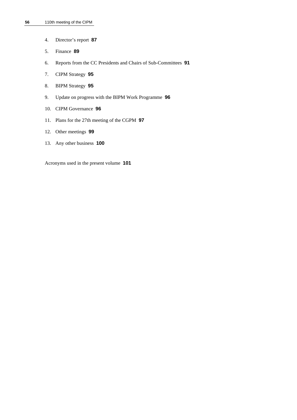- 4. Director's report **87**
- 5. Finance **89**
- 6. Reports from the CC Presidents and Chairs of Sub-Committees **91**
- 7. CIPM Strategy **95**
- 8. BIPM Strategy **95**
- 9. Update on progress with the BIPM Work Programme **96**
- 10. CIPM Governance **96**
- 11. Plans for the 27th meeting of the CGPM **97**
- 12. Other meetings **99**
- 13. Any other business **100**

Acronyms used in the present volume **101**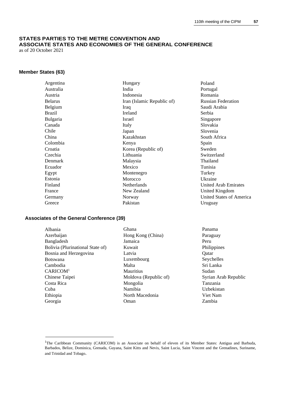## **STATES PARTIES TO THE METRE CONVENTION AND ASSOCIATE STATES AND ECONOMIES OF THE GENERAL CONFERENCE**

as of 20 October 2021

## **Member States (63)**

| Argentina      | Hungary                    | Poland                    |
|----------------|----------------------------|---------------------------|
| Australia      | India                      | Portugal                  |
| Austria        | Indonesia                  | Romania                   |
| <b>Belarus</b> | Iran (Islamic Republic of) | <b>Russian Federation</b> |
| Belgium        | Iraq                       | Saudi Arabia              |
| Brazil         | Ireland                    | Serbia                    |
| Bulgaria       | Israel                     | Singapore                 |
| Canada         | Italy                      | Slovakia                  |
| Chile          | Japan                      | Slovenia                  |
| China          | Kazakhstan                 | South Africa              |
| Colombia       | Kenya                      | Spain                     |
| Croatia        | Korea (Republic of)        | Sweden                    |
| Czechia        | Lithuania                  | Switzerland               |
| Denmark        | Malaysia                   | Thailand                  |
| Ecuador        | Mexico                     | Tunisia                   |
| Egypt          | Montenegro                 | Turkey                    |
| Estonia        | Morocco                    | Ukraine                   |
| Finland        | Netherlands                | United Arab Emirat        |
| France         | New Zealand                | United Kingdom            |
| Germany        | Norway                     | United States of An       |
| Greece         | Pakistan                   | Uruguay                   |

#### **Associates of the General Conference (39)**

Albania Azerbaijan Bangladesh Bolivia (Plurinational State of) Bosnia and Herzegovina Botswana Cambodia CARICOM<sup>1</sup> Chinese Taipei Costa Rica Cuba Ethiopia Georgia

- Ghana Hong Kong (China) Jamaica Kuwait Latvia Luxembourg Malta **Mauritius** Moldova (Republic of) Mongolia Namibia North Macedonia Oman
- ıia Africa  $\mathbf{n}$ erland  $nd$ ie **Arab Emirates** Kingdom States of America Uruguay Panama Paraguay Peru

Philippines Qatar Seychelles Sri Lanka Sudan

Tanzania Uzbekistan Viet Nam Zambia

Syrian Arab Republic

<sup>&</sup>lt;sup>1</sup>The Caribbean Community (CARICOM) is an Associate on behalf of eleven of its Member States: Antigua and Barbuda, Barbados, Belize, Dominica, Grenada, Guyana, Saint Kitts and Nevis, Saint Lucia, Saint Vincent and the Grenadines, Suriname, and Trinidad and Tobago.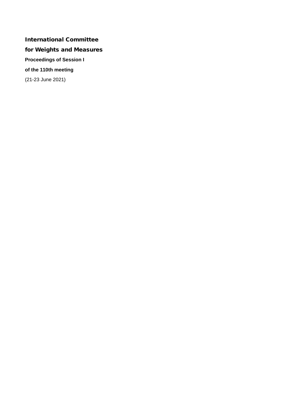## International Committee for Weights and Measures **Proceedings of Session I of the 110th meeting** (21-23 June 2021)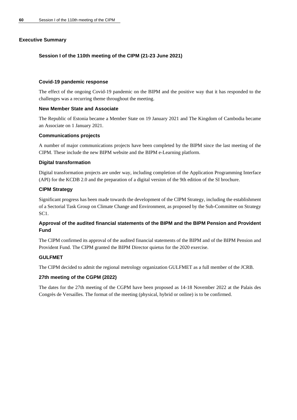## **Executive Summary**

#### **Session I of the 110th meeting of the CIPM (21-23 June 2021)**

#### **Covid-19 pandemic response**

The effect of the ongoing Covid-19 pandemic on the BIPM and the positive way that it has responded to the challenges was a recurring theme throughout the meeting.

#### **New Member State and Associate**

The Republic of Estonia became a Member State on 19 January 2021 and The Kingdom of Cambodia became an Associate on 1 January 2021.

#### **Communications projects**

A number of major communications projects have been completed by the BIPM since the last meeting of the CIPM. These include the new BIPM website and the BIPM e-Learning platform.

#### **Digital transformation**

Digital transformation projects are under way, including completion of the Application Programming Interface (API) for the KCDB 2.0 and the preparation of a digital version of the 9th edition of the SI brochure.

### **CIPM Strategy**

Significant progress has been made towards the development of the CIPM Strategy, including the establishment of a Sectorial Task Group on Climate Change and Environment, as proposed by the Sub-Committee on Strategy SC1.

## **Approval of the audited financial statements of the BIPM and the BIPM Pension and Provident Fund**

The CIPM confirmed its approval of the audited financial statements of the BIPM and of the BIPM Pension and Provident Fund. The CIPM granted the BIPM Director quietus for the 2020 exercise.

### **GULFMET**

The CIPM decided to admit the regional metrology organization GULFMET as a full member of the JCRB.

### **27th meeting of the CGPM (2022)**

The dates for the 27th meeting of the CGPM have been proposed as 14-18 November 2022 at the Palais des Congrès de Versailles. The format of the meeting (physical, hybrid or online) is to be confirmed.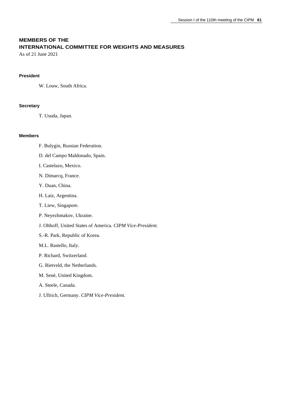## **MEMBERS OF THE INTERNATIONAL COMMITTEE FOR WEIGHTS AND MEASURES**

As of 21 June 2021

#### **President**

W. Louw, South Africa.

#### **Secretary**

T. Usuda, Japan.

#### **Members**

- F. Bulygin, Russian Federation.
- D. del Campo Maldonado, Spain.
- I. Castelazo, Mexico.
- N. Dimarcq, France.
- Y. Duan, China.
- H. Laiz, Argentina.
- T. Liew, Singapore.
- P. Neyezhmakov, Ukraine.
- J. Olthoff, United States of America. *CIPM Vice-President.*
- S.-R. Park, Republic of Korea.
- M.L. Rastello, Italy.
- P. Richard, Switzerland.
- G. Rietveld, the Netherlands.
- M. Sené, United Kingdom.
- A. Steele, Canada.
- J. Ullrich, Germany. *CIPM Vice-President*.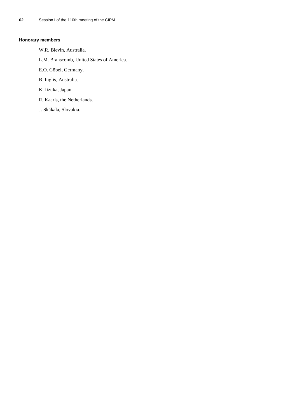#### **Honorary members**

- W.R. Blevin, Australia.
- L.M. Branscomb, United States of America.
- E.O. Göbel, Germany.
- B. Inglis, Australia.
- K. Iizuka, Japan.
- R. Kaarls, the Netherlands.
- J. Skákala, Slovakia.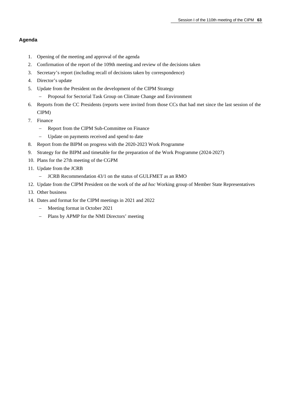## **Agenda**

- 1. Opening of the meeting and approval of the agenda
- 2. Confirmation of the report of the 109th meeting and review of the decisions taken
- 3. Secretary's report (including recall of decisions taken by correspondence)
- 4. Director's update
- 5. Update from the President on the development of the CIPM Strategy
	- − Proposal for Sectorial Task Group on Climate Change and Environment
- 6. Reports from the CC Presidents (reports were invited from those CCs that had met since the last session of the CIPM)
- 7. Finance
	- − Report from the CIPM Sub-Committee on Finance
	- − Update on payments received and spend to date
- 8. Report from the BIPM on progress with the 2020-2023 Work Programme
- 9. Strategy for the BIPM and timetable for the preparation of the Work Programme (2024-2027)
- 10. Plans for the 27th meeting of the CGPM
- 11. Update from the JCRB
	- − JCRB Recommendation 43/1 on the status of GULFMET as an RMO
- 12. Update from the CIPM President on the work of the *ad hoc* Working group of Member State Representatives
- 13. Other business
- 14. Dates and format for the CIPM meetings in 2021 and 2022
	- − Meeting format in October 2021
	- − Plans by APMP for the NMI Directors' meeting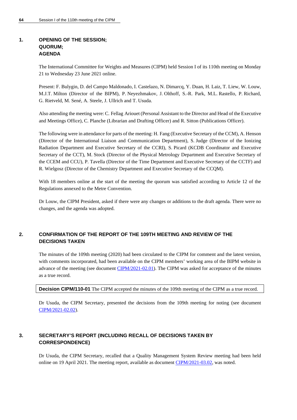## **1. OPENING OF THE SESSION; QUORUM; AGENDA**

The International Committee for Weights and Measures (CIPM) held Session I of its 110th meeting on Monday 21 to Wednesday 23 June 2021 online.

Present: F. Bulygin, D. del Campo Maldonado, I. Castelazo, N. Dimarcq, Y. Duan, H. Laiz, T. Liew, W. Louw, M.J.T. Milton (Director of the BIPM), P. Neyezhmakov, J. Olthoff, S.-R. Park, M.L. Rastello, P. Richard, G. Rietveld, M. Sené, A. Steele, J. Ullrich and T. Usuda.

Also attending the meeting were: C. Fellag Ariouet (Personal Assistant to the Director and Head of the Executive and Meetings Office), C. Planche (Librarian and Drafting Officer) and R. Sitton (Publications Officer).

The following were in attendance for parts of the meeting: H. Fang (Executive Secretary of the CCM), A. Henson (Director of the International Liaison and Communication Department), S. Judge (Director of the Ionizing Radiation Department and Executive Secretary of the CCRI), S. Picard (KCDB Coordinator and Executive Secretary of the CCT), M. Stock (Director of the Physical Metrology Department and Executive Secretary of the CCEM and CCU), P. Tavella (Director of the Time Department and Executive Secretary of the CCTF) and R. Wielgosz (Director of the Chemistry Department and Executive Secretary of the CCQM).

With 18 members online at the start of the meeting the quorum was satisfied according to Article 12 of the Regulations annexed to the Metre Convention.

Dr Louw, the CIPM President, asked if there were any changes or additions to the draft agenda. There were no changes, and the agenda was adopted.

## **2. CONFIRMATION OF THE REPORT OF THE 109TH MEETING AND REVIEW OF THE DECISIONS TAKEN**

The minutes of the 109th meeting (2020) had been circulated to the CIPM for comment and the latest version, with comments incorporated, had been available on the CIPM members' working area of the BIPM website in advance of the meeting (see documen[t CIPM/2021-02.01\)](https://www.bipm.org/documents/20126/53520515/CIPM21-02.01-CIPM2020-EN-report.pdf/e1f76263-66b8-6dab-5471-bae701152767). The CIPM was asked for acceptance of the minutes as a true record.

**Decision CIPM/110-01** The CIPM accepted the minutes of the 109th meeting of the CIPM as a true record.

Dr Usuda, the CIPM Secretary, presented the decisions from the 109th meeting for noting (see document [CIPM/2021-02.02\)](https://www.bipm.org/documents/20126/53520500/CIPM21-02.02-Decisions_109th_session.pdf/7fa195e9-dc00-4c94-932b-13e91000985c).

## **3. SECRETARY'S REPORT (INCLUDING RECALL OF DECISIONS TAKEN BY CORRESPONDENCE)**

Dr Usuda, the CIPM Secretary, recalled that a Quality Management System Review meeting had been held online on 19 April 2021. The meeting report, available as document [CIPM/2021-03.02,](https://www.bipm.org/documents/20126/57050471/CIPM21-03.02-Quality_Management_System_Review_2021_meeting_notes/56ce4406-d3d7-7809-b497-8491e88f9415) was noted.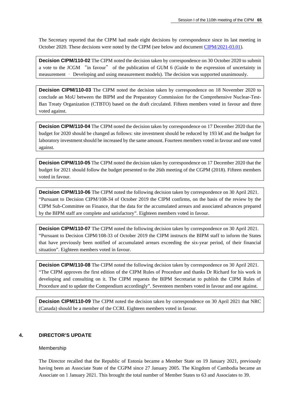The Secretary reported that the CIPM had made eight decisions by correspondence since its last meeting in October 2020. These decisions were noted by the CIPM (see below and document [CIPM/2021-03.01\)](https://www.bipm.org/cc/CIPM/Restricted/109/CIPM20-02.02-CIPM-List-of-decisions-taken-by-correspondence.docx).

**Decision CIPM/110-02** The CIPM noted the decision taken by correspondence on 30 October 2020 to submit a vote to the JCGM "in favour" of the publication of GUM 6 (Guide to the expression of uncertainty in measurement – Developing and using measurement models). The decision was supported unanimously.

**Decision CIPM/110-03** The CIPM noted the decision taken by correspondence on 18 November 2020 to conclude an MoU between the BIPM and the Preparatory Commission for the Comprehensive Nuclear-Test-Ban Treaty Organization (CTBTO) based on the draft circulated. Fifteen members voted in favour and three voted against.

**Decision CIPM/110-04** The CIPM noted the decision taken by correspondence on 17 December 2020 that the budget for 2020 should be changed as follows: site investment should be reduced by 193 k€ and the budget for laboratory investment should be increased by the same amount. Fourteen members voted in favour and one voted against.

**Decision CIPM/110-05** The CIPM noted the decision taken by correspondence on 17 December 2020 that the budget for 2021 should follow the budget presented to the 26th meeting of the CGPM (2018). Fifteen members voted in favour.

**Decision CIPM/110-06** The CIPM noted the following decision taken by correspondence on 30 April 2021. "Pursuant to Decision CIPM/108-34 of October 2019 the CIPM confirms, on the basis of the review by the CIPM Sub-Committee on Finance, that the data for the accumulated arrears and associated advances prepared by the BIPM staff are complete and satisfactory". Eighteen members voted in favour.

**Decision CIPM/110-07** The CIPM noted the following decision taken by correspondence on 30 April 2021. "Pursuant to Decision CIPM/108-33 of October 2019 the CIPM instructs the BIPM staff to inform the States that have previously been notified of accumulated arrears exceeding the six-year period, of their financial situation". Eighteen members voted in favour.

**Decision CIPM/110-08** The CIPM noted the following decision taken by correspondence on 30 April 2021. "The CIPM approves the first edition of the CIPM Rules of Procedure and thanks Dr Richard for his work in developing and consulting on it. The CIPM requests the BIPM Secretariat to publish the CIPM Rules of Procedure and to update the Compendium accordingly". Seventeen members voted in favour and one against.

**Decision CIPM/110-09** The CIPM noted the decision taken by correspondence on 30 April 2021 that NRC (Canada) should be a member of the CCRI. Eighteen members voted in favour.

#### **4. DIRECTOR'S UPDATE**

#### Membership

The Director recalled that the Republic of Estonia became a Member State on 19 January 2021, previously having been an Associate State of the CGPM since 27 January 2005. The Kingdom of Cambodia became an Associate on 1 January 2021. This brought the total number of Member States to 63 and Associates to 39.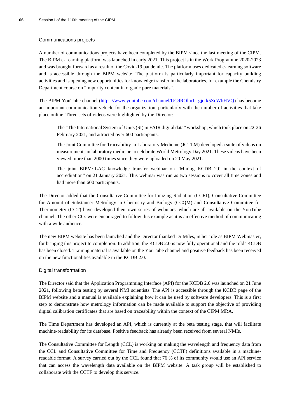#### Communications projects

A number of communications projects have been completed by the BIPM since the last meeting of the CIPM. The BIPM e-Learning platform was launched in early 2021. This project is in the Work Programme 2020-2023 and was brought forward as a result of the Covid-19 pandemic. The platform uses dedicated e-learning software and is accessible through the BIPM website. The platform is particularly important for capacity building activities and is opening new opportunities for knowledge transfer in the laboratories, for example the Chemistry Department course on "impurity content in organic pure materials".

The BIPM YouTube channel [\(https://www.youtube.com/channel/UC9ROltu1--gjcrk5ZcWbHVQ\)](https://www.youtube.com/channel/UC9ROltu1--gjcrk5ZcWbHVQ) has become an important communication vehicle for the organization, particularly with the number of activities that take place online. Three sets of videos were highlighted by the Director:

- − The "The International System of Units (SI) in FAIR digital data" workshop, which took place on 22-26 February 2021, and attracted over 600 participants.
- The Joint Committee for Traceability in Laboratory Medicine (JCTLM) developed a suite of videos on measurements in laboratory medicine to celebrate World Metrology Day 2021. These videos have been viewed more than 2000 times since they were uploaded on 20 May 2021.
- The joint BIPM/ILAC knowledge transfer webinar on "Mining KCDB 2.0 in the context of accreditation" on 21 January 2021. This webinar was run as two sessions to cover all time zones and had more than 600 participants.

The Director added that the Consultative Committee for Ionizing Radiation (CCRI), Consultative Committee for Amount of Substance: Metrology in Chemistry and Biology (CCQM) and Consultative Committee for Thermometry (CCT) have developed their own series of webinars, which are all available on the YouTube channel. The other CCs were encouraged to follow this example as it is an effective method of communicating with a wide audience.

The new BIPM website has been launched and the Director thanked Dr Miles, in her role as BIPM Webmaster, for bringing this project to completion. In addition, the KCDB 2.0 is now fully operational and the 'old' KCDB has been closed. Training material is available on the YouTube channel and positive feedback has been received on the new functionalities available in the KCDB 2.0.

#### Digital transformation

The Director said that the Application Programming Interface (API) for the KCDB 2.0 was launched on 21 June 2021, following beta testing by several NMI scientists. The API is accessible through the KCDB page of the BIPM website and a manual is available explaining how it can be used by software developers. This is a first step to demonstrate how metrology information can be made available to support the objective of providing digital calibration certificates that are based on traceability within the context of the CIPM MRA.

The Time Department has developed an API, which is currently at the beta testing stage, that will facilitate machine-readability for its database. Positive feedback has already been received from several NMIs.

The Consultative Committee for Length (CCL) is working on making the wavelength and frequency data from the CCL and Consultative Committee for Time and Frequency (CCTF) definitions available in a machinereadable format. A survey carried out by the CCL found that 76 % of its community would use an API service that can access the wavelength data available on the BIPM website. A task group will be established to collaborate with the CCTF to develop this service.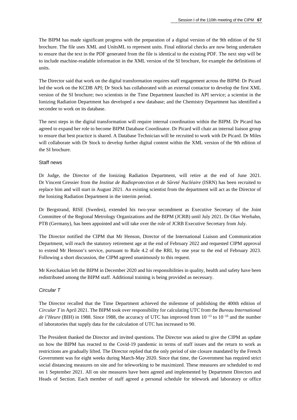The BIPM has made significant progress with the preparation of a digital version of the 9th edition of the SI brochure. The file uses XML and UnitsML to represent units. Final editorial checks are now being undertaken to ensure that the text in the PDF generated from the file is identical to the existing PDF. The next step will be to include machine-readable information in the XML version of the SI brochure, for example the definitions of units.

The Director said that work on the digital transformation requires staff engagement across the BIPM: Dr Picard led the work on the KCDB API; Dr Stock has collaborated with an external contactor to develop the first XML version of the SI brochure; two scientists in the Time Department launched its API service; a scientist in the Ionizing Radiation Department has developed a new database; and the Chemistry Department has identified a secondee to work on its database.

The next steps in the digital transformation will require internal coordination within the BIPM. Dr Picard has agreed to expand her role to become BIPM Database Coordinator. Dr Picard will chair an internal liaison group to ensure that best practice is shared. A Database Technician will be recruited to work with Dr Picard. Dr Miles will collaborate with Dr Stock to develop further digital content within the XML version of the 9th edition of the SI brochure.

#### Staff news

Dr Judge, the Director of the Ionizing Radiation Department, will retire at the end of June 2021. Dr Vincent Gressier from the *Institut de Radioprotection et de Sûreté Nucléaire* (ISRN) has been recruited to replace him and will start in August 2021. An existing scientist from the department will act as the Director of the Ionizing Radiation Department in the interim period.

Dr Bergstrand, RISE (Sweden), extended his two-year secondment as Executive Secretary of the Joint Committee of the Regional Metrology Organizations and the BIPM (JCRB) until July 2021. Dr Olav Werhahn, PTB (Germany), has been appointed and will take over the role of JCRB Executive Secretary from July.

The Director notified the CIPM that Mr Henson, Director of the International Liaison and Communication Department, will reach the statutory retirement age at the end of February 2022 and requested CIPM approval to extend Mr Henson's service, pursuant to Rule 4.2 of the RRI, by one year to the end of February 2023. Following a short discussion, the CIPM agreed unanimously to this request.

Mr Keochakian left the BIPM in December 2020 and his responsibilities in quality, health and safety have been redistributed among the BIPM staff. Additional training is being provided as necessary.

#### *Circular T*

The Director recalled that the Time Department achieved the milestone of publishing the 400th edition of *Circular T* in April 2021. The BIPM took over responsibility for calculating UTC from the *Bureau International de l'Heure* (BIH) in 1988. Since 1988, the accuracy of UTC has improved from 10<sup>-13</sup> to 10<sup>-16</sup> and the number of laboratories that supply data for the calculation of UTC has increased to 90.

The President thanked the Director and invited questions. The Director was asked to give the CIPM an update on how the BIPM has reacted to the Covid-19 pandemic in terms of staff issues and the return to work as restrictions are gradually lifted. The Director replied that the only period of site closure mandated by the French Government was for eight weeks during March-May 2020. Since that time, the Government has required strict social distancing measures on site and for teleworking to be maximized. These measures are scheduled to end on 1 September 2021. All on site measures have been agreed and implemented by Department Directors and Heads of Section. Each member of staff agreed a personal schedule for telework and laboratory or office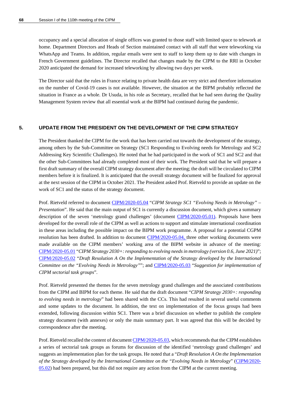occupancy and a special allocation of single offices was granted to those staff with limited space to telework at home. Department Directors and Heads of Section maintained contact with all staff that were teleworking via WhatsApp and Teams. In addition, regular emails were sent to staff to keep them up to date with changes in French Government guidelines. The Director recalled that changes made by the CIPM to the RRI in October 2020 anticipated the demand for increased teleworking by allowing two days per week.

The Director said that the rules in France relating to private health data are very strict and therefore information on the number of Covid-19 cases is not available. However, the situation at the BIPM probably reflected the situation in France as a whole. Dr Usuda, in his role as Secretary, recalled that he had seen during the Quality Management System review that all essential work at the BIPM had continued during the pandemic.

#### **5. UPDATE FROM THE PRESIDENT ON THE DEVELOPMENT OF THE CIPM STRATEGY**

The President thanked the CIPM for the work that has been carried out towards the development of the strategy, among others by the Sub-Committee on Strategy (SC1 Responding to Evolving needs for Metrology and SC2 Addressing Key Scientific Challenges). He noted that he had participated in the work of SC1 and SC2 and that the other Sub-Committees had already completed most of their work. The President said that he will prepare a first draft summary of the overall CIPM strategy document after the meeting; the draft will be circulated to CIPM members before it is finalized. It is anticipated that the overall strategy document will be finalized for approval at the next session of the CIPM in October 2021. The President asked Prof. Rietveld to provide an update on the work of SC1 and the status of the strategy document.

Prof. Rietveld referred to document [CIPM/2020-05.04](https://www.bipm.org/documents/20126/57227162/CIPM21-05.04-CIPM_Strategy_SC1_Evolving_needs_update_110th-CIPM-meeting-session-I.pdf/e1e2336a-a93b-aedf-7947-3309b741e4c9) "*CIPM Strategy SC1 "Evolving Needs in Metrology" – Presentation*". He said that the main output of SC1 is currently a discussion document, which gives a summary description of the seven 'metrology grand challenges' (document [CIPM/2020-05.01\)](https://www.bipm.org/documents/20126/53915581/CIPM21-05.01-CIPM-strategy_SC1_Evolving+Needs+Report_v0.6.pdf/98739750-7441-c49f-1af5-277b2c38481a). Proposals have been developed for the overall role of the CIPM as well as actions to support and stimulate international coordination in these areas including the possible impact on the BIPM work programme. A proposal for a potential CGPM resolution has been drafted. In addition to document [CIPM/2020-05.04,](https://www.bipm.org/documents/20126/57227162/CIPM21-05.04-CIPM_Strategy_SC1_Evolving_needs_update_110th-CIPM-meeting-session-I.pdf/e1e2336a-a93b-aedf-7947-3309b741e4c9) three other working documents were made available on the CIPM members' working area of the BIPM website in advance of the meeting: [CIPM/2020-05.01](https://www.bipm.org/documents/20126/53915581/CIPM21-05.01-CIPM-strategy_SC1_Evolving+Needs+Report_v0.6.pdf/98739750-7441-c49f-1af5-277b2c38481a) "*CIPM Strategy 2030+: responding to evolving needs in metrology (version 0.6, June 2021)*"; [CIPM/2020-05.02](https://www.bipm.org/documents/20126/57176031/CIPM21-05.02-2021-06+Draft-Res-A.docx/9f00b929-c9dc-0242-1aa5-a91e4a537659) "*Draft Resolution A On the Implementation of the Strategy developed by the International Committee on the "Evolving Needs in Metrology"*"; and [CIPM/2020-05.03](https://www.bipm.org/documents/20126/57227118/CIPM21-05.03+Suggestion+for+implementation+of+CIPM+sectorial+task+groups_v2.docx/4afd52a6-7370-fb57-9ddb-f09778e7585f) "*Suggestion for implementation of CIPM sectorial task groups*".

Prof. Rietveld presented the themes for the seven metrology grand challenges and the associated contributions from the CIPM and BIPM for each theme. He said that the draft document "*CIPM Strategy 2030+: responding to evolving needs in metrology*" had been shared with the CCs. This had resulted in several useful comments and some updates to the document. In addition, the text on implementation of the focus groups had been extended, following discussion within SC1. There was a brief discussion on whether to publish the complete strategy document (with annexes) or only the main summary part. It was agreed that this will be decided by correspondence after the meeting.

Prof. Rietveld recalled the content of documen[t CIPM/2020-05.03,](https://www.bipm.org/documents/20126/57227118/CIPM21-05.03+Suggestion+for+implementation+of+CIPM+sectorial+task+groups_v2.docx/4afd52a6-7370-fb57-9ddb-f09778e7585f) which recommends that the CIPM establishes a series of sectorial task groups as forums for discussion of the identified 'metrology grand challenges' and suggests an implementation plan for the task groups. He noted that a "*Draft Resolution A On the Implementation of the Strategy developed by the International Committee on the "Evolving Needs in Metrology*" [\(CIPM/2020-](https://www.bipm.org/documents/20126/57176031/CIPM21-05.02-2021-06+Draft-Res-A.docx/9f00b929-c9dc-0242-1aa5-a91e4a537659) [05.02\)](https://www.bipm.org/documents/20126/57176031/CIPM21-05.02-2021-06+Draft-Res-A.docx/9f00b929-c9dc-0242-1aa5-a91e4a537659) had been prepared, but this did not require any action from the CIPM at the current meeting.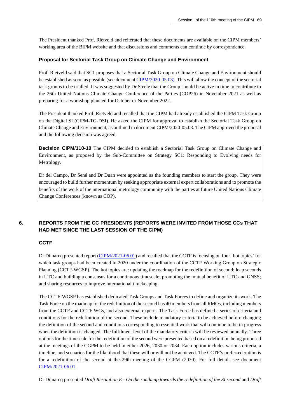The President thanked Prof. Rietveld and reiterated that these documents are available on the CIPM members' working area of the BIPM website and that discussions and comments can continue by correspondence.

#### **Proposal for Sectorial Task Group on Climate Change and Environment**

Prof. Rietveld said that SC1 proposes that a Sectorial Task Group on Climate Change and Environment should be established as soon as possible (see documen[t CIPM/2020-05.03\)](https://www.bipm.org/documents/20126/57227118/CIPM21-05.03+Suggestion+for+implementation+of+CIPM+sectorial+task+groups_v2.docx/4afd52a6-7370-fb57-9ddb-f09778e7585f). This will allow the concept of the sectorial task groups to be trialled. It was suggested by Dr Steele that the Group should be active in time to contribute to the 26th United Nations Climate Change Conference of the Parties (COP26) in November 2021 as well as preparing for a workshop planned for October or November 2022.

The President thanked Prof. Rietveld and recalled that the CIPM had already established the CIPM Task Group on the Digital SI (CIPM-TG-DSI). He asked the CIPM for approval to establish the Sectorial Task Group on Climate Change and Environment, as outlined in document CIPM/2020-05.03. The CIPM approved the proposal and the following decision was agreed.

**Decision CIPM/110-10** The CIPM decided to establish a Sectorial Task Group on Climate Change and Environment, as proposed by the Sub-Committee on Strategy SC1: Responding to Evolving needs for Metrology.

Dr del Campo, Dr Sené and Dr Duan were appointed as the founding members to start the group. They were encouraged to build further momentum by seeking appropriate external expert collaborations and to promote the benefits of the work of the international metrology community with the parties at future United Nations Climate Change Conferences (known as COP).

## **6. REPORTS FROM THE CC PRESIDENTS (REPORTS WERE INVITED FROM THOSE CCs THAT HAD MET SINCE THE LAST SESSION OF THE CIPM)**

## **CCTF**

Dr Dimarcq presented report [\(CIPM/2021-06.01\)](https://www.bipm.org/documents/20126/57454137/CIPM21-06.01-CCTF_report_to_the_CIPM.pdf/184ecaaa-253a-1b97-324f-daa8441e99c4) and recalled that the CCTF is focusing on four 'hot topics' for which task groups had been created in 2020 under the coordination of the CCTF Working Group on Strategic Planning (CCTF-WGSP). The hot topics are: updating the roadmap for the redefinition of second; leap seconds in UTC and building a consensus for a continuous timescale; promoting the mutual benefit of UTC and GNSS; and sharing resources to improve international timekeeping.

The CCTF-WGSP has established dedicated Task Groups and Task Forces to define and organize its work. The Task Force on the roadmap for the redefinition of the second has 40 members from all RMOs, including members from the CCTF and CCTF WGs, and also external experts. The Task Force has defined a series of criteria and conditions for the redefinition of the second. These include mandatory criteria to be achieved before changing the definition of the second and conditions corresponding to essential work that will continue to be in progress when the definition is changed. The fulfilment level of the mandatory criteria will be reviewed annually. Three options for the timescale for the redefinition of the second were presented based on a redefinition being proposed at the meetings of the CGPM to be held in either 2026, 2030 or 2034. Each option includes various criteria, a timeline, and scenarios for the likelihood that these will or will not be achieved. The CCTF's preferred option is for a redefinition of the second at the 29th meeting of the CGPM (2030). For full details see document [CIPM/2021-06.01.](https://www.bipm.org/documents/20126/57454137/CIPM21-06.01-CCTF_report_to_the_CIPM.pdf/184ecaaa-253a-1b97-324f-daa8441e99c4)

Dr Dimarcq presented *Draft Resolution E - On the roadmap towards the redefinition of the SI second* and *Draft*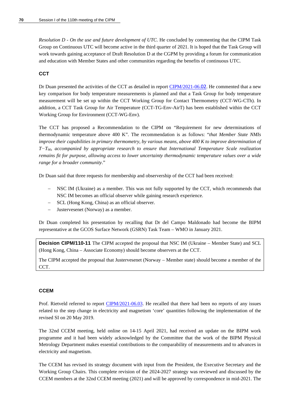*Resolution D - On the use and future development of UTC*. He concluded by commenting that the CIPM Task Group on Continuous UTC will become active in the third quarter of 2021. It is hoped that the Task Group will work towards gaining acceptance of Draft Resolution D at the CGPM by providing a forum for communication and education with Member States and other communities regarding the benefits of continuous UTC.

#### **CCT**

Dr Duan presented the activities of the CCT as detailed in report [CIPM/2021-06.](https://www.bipm.org/documents/20126/57456741/CIPM21-06-02-CIPM-report-to-the-CIPM-v2/aa05d214-4148-27f2-f141-39d7eda9b47c)[02](https://www.bipm.org/documents/20126/57456741/CIPM21-06-02-CIPM-report-to-the-CIPM-v2/aa05d214-4148-27f2-f141-39d7eda9b47c). He commented that a new key comparison for body temperature measurements is planned and that a Task Group for body temperature measurement will be set up within the CCT Working Group for Contact Thermometry (CCT-WG-CTh). In addition, a CCT Task Group for Air Temperature (CCT-TG-Env-AirT) has been established within the CCT Working Group for Environment (CCT-WG-Env).

The CCT has proposed a Recommendation to the CIPM on "Requirement for new determinations of thermodynamic temperature above 400 K". The recommendation is as follows: "*that Member State NMIs improve their capabilities in primary thermometry, by various means, above 400 K to improve determination of T−T90, accompanied by appropriate research to ensure that International Temperature Scale realization remains fit for purpose, allowing access to lower uncertainty thermodynamic temperature values over a wide range for a broader community*."

Dr Duan said that three requests for membership and observership of the CCT had been received:

- NSC IM (Ukraine) as a member. This was not fully supported by the CCT, which recommends that NSC IM becomes an official observer while gaining research experience.
- SCL (Hong Kong, China) as an official observer.
- Justervesenet (Norway) as a member.

Dr Duan completed his presentation by recalling that Dr del Campo Maldonado had become the BIPM representative at the GCOS Surface Network (GSRN) Task Team – WMO in January 2021.

**Decision CIPM/110-11** The CIPM accepted the proposal that NSC IM (Ukraine – Member State) and SCL (Hong Kong, China – Associate Economy) should become observers at the CCT.

The CIPM accepted the proposal that Justervesenet (Norway – Member state) should become a member of the CCT.

#### **CCEM**

Prof. Rietveld referred to report [CIPM/2021-06.03.](https://www.bipm.org/documents/20126/56972009/CIPM21-06.03-CCEM-report-to-the-110th-CIPM-meeting_session+I_June+2021.pdf/6c2ecb28-caaa-f5f1-5cab-2a4ff75e6b4d) He recalled that there had been no reports of any issues related to the step change in electricity and magnetism 'core' quantities following the implementation of the revised SI on 20 May 2019.

The 32nd CCEM meeting, held online on 14-15 April 2021, had received an update on the BIPM work programme and it had been widely acknowledged by the Committee that the work of the BIPM Physical Metrology Department makes essential contributions to the comparability of measurements and to advances in electricity and magnetism.

The CCEM has revised its strategy document with input from the President, the Executive Secretary and the Working Group Chairs. This complete revision of the 2024-2027 strategy was reviewed and discussed by the CCEM members at the 32nd CCEM meeting (2021) and will be approved by correspondence in mid-2021. The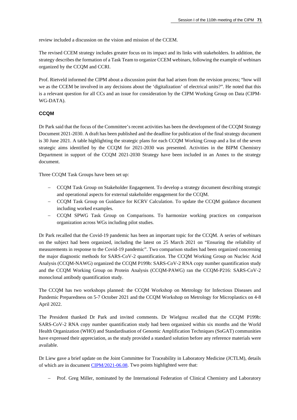review included a discussion on the vision and mission of the CCEM.

The revised CCEM strategy includes greater focus on its impact and its links with stakeholders. In addition, the strategy describes the formation of a Task Team to organize CCEM webinars, following the example of webinars organized by the CCQM and CCRI.

Prof. Rietveld informed the CIPM about a discussion point that had arisen from the revision process; "how will we as the CCEM be involved in any decisions about the 'digitalization' of electrical units?". He noted that this is a relevant question for all CCs and an issue for consideration by the CIPM Working Group on Data (CIPM-WG-DATA).

### **CCQM**

Dr Park said that the focus of the Committee's recent activities has been the development of the CCQM Strategy Document 2021-2030. A draft has been published and the deadline for publication of the final strategy document is 30 June 2021. A table highlighting the strategic plans for each CCQM Working Group and a list of the seven strategic aims identified by the CCQM for 2021-2030 was presented. Activities in the BIPM Chemistry Department in support of the CCQM 2021-2030 Strategy have been included in an Annex to the strategy document.

Three CCQM Task Groups have been set up:

- − CCQM Task Group on Stakeholder Engagement. To develop a strategy document describing strategic and operational aspects for external stakeholder engagement for the CCQM.
- − CCQM Task Group on Guidance for KCRV Calculation. To update the CCQM guidance document including worked examples.
- − CCQM SPWG Task Group on Comparisons. To harmonize working practices on comparison organization across WGs including pilot studies.

Dr Park recalled that the Covid-19 pandemic has been an important topic for the CCQM. A series of webinars on the subject had been organized, including the latest on 25 March 2021 on "Ensuring the reliability of measurements in response to the Covid-19 pandemic". Two comparison studies had been organized concerning the major diagnostic methods for SARS-CoV-2 quantification. The CCQM Working Group on Nucleic Acid Analysis (CCQM-NAWG) organized the CCQM P199b: SARS-CoV-2 RNA copy number quantification study and the CCQM Working Group on Protein Analysis (CCQM-PAWG) ran the CCQM-P216: SARS-CoV-2 monoclonal antibody quantification study.

The CCQM has two workshops planned: the CCQM Workshop on Metrology for Infectious Diseases and Pandemic Preparedness on 5-7 October 2021 and the CCQM Workshop on Metrology for Microplastics on 4-8 April 2022.

The President thanked Dr Park and invited comments. Dr Wielgosz recalled that the CCQM P199b: SARS-CoV-2 RNA copy number quantification study had been organized within six months and the World Health Organization (WHO) and Standardisation of Genomic Amplification Techniques (SoGAT) communities have expressed their appreciation, as the study provided a standard solution before any reference materials were available.

Dr Liew gave a brief update on the Joint Committee for Traceability in Laboratory Medicine (JCTLM), details of which are in documen[t CIPM/2021-06.08.](https://www.bipm.org/documents/20126/57266085/CIPM21-06.08-JCTLM-report-to-the-CIPM-June-2021.pdf/08294c12-089e-6471-0d9a-17861474ffa0) Two points highlighted were that:

− Prof. Greg Miller, nominated by the International Federation of Clinical Chemistry and Laboratory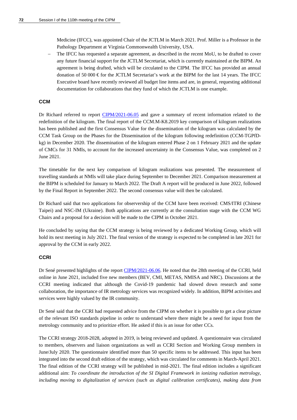Medicine (IFCC), was appointed Chair of the JCTLM in March 2021. Prof. Miller is a Professor in the Pathology Department at Virginia Commonwealth University, USA.

The IFCC has requested a separate agreement, as described in the recent MoU, to be drafted to cover any future financial support for the JCTLM Secretariat, which is currently maintained at the BIPM. An agreement is being drafted, which will be circulated to the CIPM. The IFCC has provided an annual donation of 50 000  $\epsilon$  for the JCTLM Secretariat's work at the BIPM for the last 14 years. The IFCC Executive board have recently reviewed all budget line items and are, in general, requesting additional documentation for collaborations that they fund of which the JCTLM is one example.

#### **CCM**

Dr Richard referred to report [CIPM/2021-06.05](https://www.bipm.org/documents/20126/56972025/CIPM21-06.05-CCM_report-to_CIPM_2021_Ri_EN_DEF.pdf/892ef508-9e44-320d-72f0-63c8b75d3b6b) and gave a summary of recent information related to the redefinition of the kilogram. The final report of the CCM.M-K8.2019 key comparison of kilogram realizations has been published and the first Consensus Value for the dissemination of the kilogram was calculated by the CCM Task Group on the Phases for the Dissemination of the kilogram following redefinition (CCM-TGPfDkg) in December 2020. The dissemination of the kilogram entered Phase 2 on 1 February 2021 and the update of CMCs for 31 NMIs, to account for the increased uncertainty in the Consensus Value, was completed on 2 June 2021.

The timetable for the next key comparison of kilogram realizations was presented. The measurement of travelling standards at NMIs will take place during September to December 2021. Comparison measurement at the BIPM is scheduled for January to March 2022. The Draft A report will be produced in June 2022, followed by the Final Report in September 2022. The second consensus value will then be calculated.

Dr Richard said that two applications for observership of the CCM have been received: CMS/ITRI (Chinese Taipei) and NSC-IM (Ukraine). Both applications are currently at the consultation stage with the CCM WG Chairs and a proposal for a decision will be made to the CIPM in October 2021.

He concluded by saying that the CCM strategy is being reviewed by a dedicated Working Group, which will hold its next meeting in July 2021. The final version of the strategy is expected to be completed in late 2021 for approval by the CCM in early 2022.

### **CCRI**

Dr Sené presented highlights of the report [CIPM/2021-06.06.](https://www.bipm.org/documents/20126/57266793/CIPM21-06.06-CCRI-report-to-the-110thCIPM.pdf/c0d5b1e2-dde5-76ed-772d-d38241242603) He noted that the 28th meeting of the CCRI, held online in June 2021, included five new members (BEV, CMI, METAS, NMISA and NRC). Discussions at the CCRI meeting indicated that although the Covid-19 pandemic had slowed down research and some collaboration, the importance of IR metrology services was recognized widely. In addition, BIPM activities and services were highly valued by the IR community.

Dr Sené said that the CCRI had requested advice from the CIPM on whether it is possible to get a clear picture of the relevant ISO standards pipeline in order to understand where there might be a need for input from the metrology community and to prioritize effort. He asked if this is an issue for other CCs.

The CCRI strategy 2018-2028, adopted in 2019, is being reviewed and updated. A questionnaire was circulated to members, observers and liaison organizations as well as CCRI Section and Working Group members in June/July 2020. The questionnaire identified more than 50 specific items to be addressed. This input has been integrated into the second draft edition of the strategy, which was circulated for comments in March-April 2021. The final edition of the CCRI strategy will be published in mid-2021. The final edition includes a significant additional aim: *To coordinate the introduction of the SI Digital Framework in ionizing radiation metrology, including moving to digitalization of services (such as digital calibration certificates), making data from*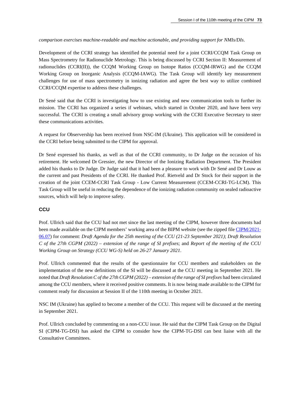## *comparison exercises machine-readable and machine actionable, and providing support for NMIs/DIs*.

Development of the CCRI strategy has identified the potential need for a joint CCRI/CCQM Task Group on Mass Spectrometry for Radionuclide Metrology. This is being discussed by CCRI Section II: Measurement of radionuclides (CCRI(II)), the CCQM Working Group on Isotope Ratios (CCQM-IRWG) and the CCQM Working Group on Inorganic Analysis (CCQM-IAWG). The Task Group will identify key measurement challenges for use of mass spectrometry in ionizing radiation and agree the best way to utilize combined CCRI/CCQM expertise to address these challenges.

Dr Sené said that the CCRI is investigating how to use existing and new communication tools to further its mission. The CCRI has organized a series if webinars, which started in October 2020, and have been very successful. The CCRI is creating a small advisory group working with the CCRI Executive Secretary to steer these communications activities.

A request for Observership has been received from NSC-IM (Ukraine). This application will be considered in the CCRI before being submitted to the CIPM for approval.

Dr Sené expressed his thanks, as well as that of the CCRI community, to Dr Judge on the occasion of his retirement. He welcomed Dr Gressier, the new Director of the Ionizing Radiation Department. The President added his thanks to Dr Judge. Dr Judge said that it had been a pleasure to work with Dr Sené and Dr Louw as the current and past Presidents of the CCRI. He thanked Prof. Rietveld and Dr Stock for their support in the creation of the joint CCEM-CCRI Task Group - Low Current Measurement (CCEM-CCRI-TG-LCM). This Task Group will be useful in reducing the dependence of the ionizing radiation community on sealed radioactive sources, which will help to improve safety.

## **CCU**

Prof. Ullrich said that the CCU had not met since the last meeting of the CIPM, however three documents had been made available on the CIPM members' working area of the BIPM website (see the zipped fil[e CIPM/2021-](https://www.bipm.org/documents/20126/56981276/CIPM21-06.07-CCU-documents-2.zip/a99107a0-f973-4d4d-04ba-2aedde926a24) [06.07\)](https://www.bipm.org/documents/20126/56981276/CIPM21-06.07-CCU-documents-2.zip/a99107a0-f973-4d4d-04ba-2aedde926a24) for comment: *Draft Agenda for the 25th meeting of the CCU (21-23 September 2021)*; *Draft Resolution C of the 27th CGPM (2022) – extension of the range of SI prefixes*; and *Report of the meeting of the CCU Working Group on Strategy (CCU WG-S) held on 26-27 January 2021*.

Prof. Ullrich commented that the results of the questionnaire for CCU members and stakeholders on the implementation of the new definitions of the SI will be discussed at the CCU meeting in September 2021. He noted that *Draft Resolution C of the 27th CGPM (2022) – extension of the range of SI prefixes* had been circulated among the CCU members, where it received positive comments. It is now being made available to the CIPM for comment ready for discussion at Session II of the 110th meeting in October 2021.

NSC IM (Ukraine) has applied to become a member of the CCU. This request will be discussed at the meeting in September 2021.

Prof. Ullrich concluded by commenting on a non-CCU issue. He said that the CIPM Task Group on the Digital SI (CIPM-TG-DSI) has asked the CIPM to consider how the CIPM-TG-DSI can best liaise with all the Consultative Committees.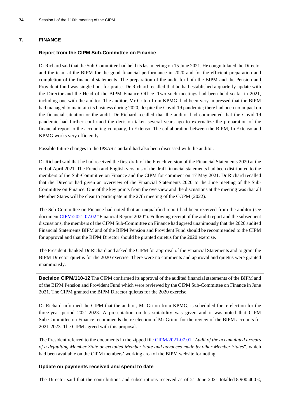#### **7. FINANCE**

#### **Report from the CIPM Sub-Committee on Finance**

Dr Richard said that the Sub-Committee had held its last meeting on 15 June 2021. He congratulated the Director and the team at the BIPM for the good financial performance in 2020 and for the efficient preparation and completion of the financial statements. The preparation of the audit for both the BIPM and the Pension and Provident fund was singled out for praise. Dr Richard recalled that he had established a quarterly update with the Director and the Head of the BIPM Finance Office. Two such meetings had been held so far in 2021, including one with the auditor. The auditor, Mr Griton from KPMG, had been very impressed that the BIPM had managed to maintain its business during 2020, despite the Covid-19 pandemic; there had been no impact on the financial situation or the audit. Dr Richard recalled that the auditor had commented that the Covid-19 pandemic had further confirmed the decision taken several years ago to externalize the preparation of the financial report to the accounting company, In Extenso. The collaboration between the BIPM, In Extenso and KPMG works very efficiently.

Possible future changes to the IPSAS standard had also been discussed with the auditor.

Dr Richard said that he had received the first draft of the French version of the Financial Statements 2020 at the end of April 2021. The French and English versions of the draft financial statements had been distributed to the members of the Sub-Committee on Finance and the CIPM for comment on 17 May 2021. Dr Richard recalled that the Director had given an overview of the Financial Statements 2020 to the June meeting of the Sub-Committee on Finance. One of the key points from the overview and the discussions at the meeting was that all Member States will be clear to participate in the 27th meeting of the CGPM (2022).

The Sub-Committee on Finance had noted that an unqualified report had been received from the auditor (see documen[t CIPM/2021-07.02](https://www.bipm.org/documents/20126/57292758/CIPM21-07.02-Rapport-annuel-BIPM-2020.pdf/efc4ea50-2f36-c1ab-b592-de89e83238cd) "Financial Report 2020"). Following receipt of the audit report and the subsequent discussions, the members of the CIPM Sub-Committee on Finance had agreed unanimously that the 2020 audited Financial Statements BIPM and of the BIPM Pension and Provident Fund should be recommended to the CIPM for approval and that the BIPM Director should be granted quietus for the 2020 exercise.

The President thanked Dr Richard and asked the CIPM for approval of the Financial Statements and to grant the BIPM Director quietus for the 2020 exercise. There were no comments and approval and quietus were granted unanimously.

**Decision CIPM/110-12** The CIPM confirmed its approval of the audited financial statements of the BIPM and of the BIPM Pension and Provident Fund which were reviewed by the CIPM Sub-Committee on Finance in June 2021. The CIPM granted the BIPM Director quietus for the 2020 exercise.

Dr Richard informed the CIPM that the auditor, Mr Griton from KPMG, is scheduled for re-election for the three-year period 2021-2023. A presentation on his suitability was given and it was noted that CIPM Sub-Committee on Finance recommends the re-election of Mr Griton for the review of the BIPM accounts for 2021-2023. The CIPM agreed with this proposal.

The President referred to the documents in the zipped fil[e CIPM/2021-07.01](https://www.bipm.org/documents/20126/53520541/CIPM21-07.01-Finance-Audit-arrears.zip/3532e43e-8c4b-abc5-d26e-85be34848bfd) "*Audit of the accumulated arrears of a defaulting Member State or excluded Member State and advances made by other Member States*", which had been available on the CIPM members' working area of the BIPM website for noting.

#### **Update on payments received and spend to date**

The Director said that the contributions and subscriptions received as of 21 June 2021 totalled 8 900 400  $\in$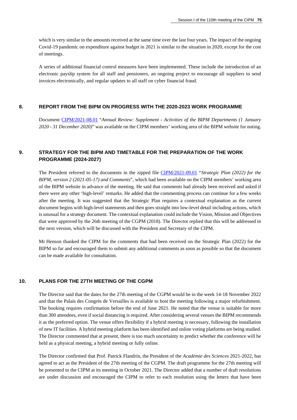which is very similar to the amounts received at the same time over the last four years. The impact of the ongoing Covid-19 pandemic on expenditure against budget in 2021 is similar to the situation in 2020, except for the cost of meetings.

A series of additional financial control measures have been implemented. These include the introduction of an electronic payslip system for all staff and pensioners, an ongoing project to encourage all suppliers to send invoices electronically, and regular updates to all staff on cyber financial fraud.

#### **8. REPORT FROM THE BIPM ON PROGRESS WITH THE 2020-2023 WORK PROGRAMME**

Document [CIPM/2021-08.01](https://www.bipm.org/documents/20126/56892472/CIPM21-08.01-WP-report-2020.pdf/a836f117-0b59-489e-7555-f6d06ef4e756) "*Annual Review: Supplement - Activities of the BIPM Departments (1 January 2020 - 31 December 2020)*" was available on the CIPM members' working area of the BIPM website for noting.

## **9. STRATEGY FOR THE BIPM AND TIMETABLE FOR THE PREPARATION OF THE WORK PROGRAMME (2024-2027)**

The President referred to the documents in the zipped file [CIPM/2021-09.01](https://www.bipm.org/documents/20126/56883085/CIPM21-09.01-Strategic-plan-2022-version_2_and_comments.zip/c11d8db9-42b5-fc11-46ba-bc482ac4dd1b) "*Strategic Plan (2022) for the BIPM, version 2 (2021-05-17) and Comments*", which had been available on the CIPM members' working area of the BIPM website in advance of the meeting. He said that comments had already been received and asked if there were any other 'high-level' remarks. He added that the commenting process can continue for a few weeks after the meeting. It was suggested that the Strategic Plan requires a contextual explanation as the current document begins with high-level statements and then goes straight into low-level detail including actions, which is unusual for a strategy document. The contextual explanation could include the Vision, Mission and Objectives that were approved by the 26th meeting of the CGPM (2018). The Director replied that this will be addressed in the next version, which will be discussed with the President and Secretary of the CIPM.

Mr Henson thanked the CIPM for the comments that had been received on the Strategic Plan (2022) for the BIPM so far and encouraged them to submit any additional comments as soon as possible so that the document can be made available for consultation.

#### **10. PLANS FOR THE 27TH MEETING OF THE CGPM**

The Director said that the dates for the 27th meeting of the CGPM would be in the week 14-18 November 2022 and that the Palais des Congrès de Versailles is available to host the meeting following a major refurbishment. The booking requires confirmation before the end of June 2021. He noted that the venue is suitable for more than 300 attendees, even if social distancing is required. After considering several venues the BIPM recommends it as the preferred option. The venue offers flexibility if a hybrid meeting is necessary, following the installation of new IT facilities. A hybrid meeting platform has been identified and online voting platforms are being studied. The Director commented that at present, there is too much uncertainty to predict whether the conference will be held as a physical meeting, a hybrid meeting or fully online.

The Director confirmed that Prof. Patrick Flandrin, the President of the *Académie des Sciences* 2021-2022, has agreed to act as the President of the 27th meeting of the CGPM. The draft programme for the 27th meeting will be presented to the CIPM at its meeting in October 2021. The Director added that a number of draft resolutions are under discussion and encouraged the CIPM to refer to each resolution using the letters that have been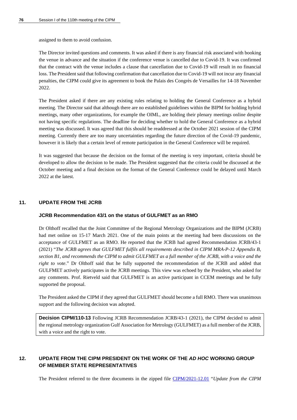assigned to them to avoid confusion.

The Director invited questions and comments. It was asked if there is any financial risk associated with booking the venue in advance and the situation if the conference venue is cancelled due to Covid-19. It was confirmed that the contract with the venue includes a clause that cancellation due to Covid-19 will result in no financial loss. The President said that following confirmation that cancellation due to Covid-19 will not incur any financial penalties, the CIPM could give its agreement to book the Palais des Congrès de Versailles for 14-18 November 2022.

The President asked if there are any existing rules relating to holding the General Conference as a hybrid meeting. The Director said that although there are no established guidelines within the BIPM for holding hybrid meetings, many other organizations, for example the OIML, are holding their plenary meetings online despite not having specific regulations. The deadline for deciding whether to hold the General Conference as a hybrid meeting was discussed. It was agreed that this should be readdressed at the October 2021 session of the CIPM meeting. Currently there are too many uncertainties regarding the future direction of the Covid-19 pandemic, however it is likely that a certain level of remote participation in the General Conference will be required.

It was suggested that because the decision on the format of the meeting is very important, criteria should be developed to allow the decision to be made. The President suggested that the criteria could be discussed at the October meeting and a final decision on the format of the General Conference could be delayed until March 2022 at the latest.

#### **11. UPDATE FROM THE JCRB**

#### **JCRB Recommendation 43/1 on the status of GULFMET as an RMO**

Dr Olthoff recalled that the Joint Committee of the Regional Metrology Organizations and the BIPM (JCRB) had met online on 15-17 March 2021. One of the main points at the meeting had been discussions on the acceptance of GULFMET as an RMO. He reported that the JCRB had agreed Recommendation JCRB/43-1 (2021) "*The JCRB agrees that GULFMET fulfils all requirements described in CIPM MRA-P-12 Appendix B, section B1, and recommends the CIPM to admit GULFMET as a full member of the JCRB, with a voice and the right to vote*." Dr Olthoff said that he fully supported the recommendation of the JCRB and added that GULFMET actively participates in the JCRB meetings. This view was echoed by the President, who asked for any comments. Prof. Rietveld said that GULFMET is an active participant in CCEM meetings and he fully supported the proposal.

The President asked the CIPM if they agreed that GULFMET should become a full RMO. There was unanimous support and the following decision was adopted.

**Decision CIPM/110-13** Following JCRB Recommendation JCRB/43-1 (2021), the CIPM decided to admit the regional metrology organization Gulf Association for Metrology (GULFMET) as a full member of the JCRB, with a voice and the right to vote.

## **12. UPDATE FROM THE CIPM PRESIDENT ON THE WORK OF THE** *AD HOC* **WORKING GROUP OF MEMBER STATE REPRESENTATIVES**

The President referred to the three documents in the zipped file [CIPM/2021-12.01](https://www.bipm.org/documents/20126/56769989/CIPM21-12.01.zip/02a0015e-dbf1-b7b3-b9ff-b2005180adb7) "*Update from the CIPM*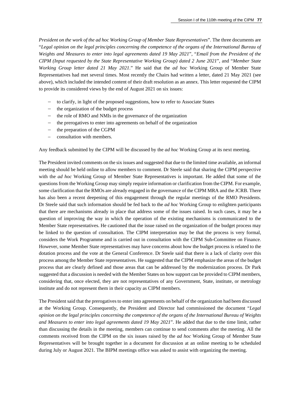*President on the work of the ad hoc Working Group of Member State Representatives*". The three documents are "*Legal opinion on the legal principles concerning the competence of the organs of the International Bureau of Weights and Measures to enter into legal agreements dated 19 May 2021*", "*Email from the President of the CIPM (Input requested by the State Representative Working Group) dated 2 June 2021*", and "*Member State Working Group letter dated 21 May 2021*." He said that the *ad hoc* Working Group of Member State Representatives had met several times. Most recently the Chairs had written a letter, dated 21 May 2021 (see above), which included the intended content of their draft resolution as an annex. This letter requested the CIPM to provide its considered views by the end of August 2021 on six issues:

- to clarify, in light of the proposed suggestions, how to refer to Associate States
- the organization of the budget process
- − the role of RMO and NMIs in the governance of the organization
- the prerogatives to enter into agreements on behalf of the organization
- − the preparation of the CGPM
- − consultation with members.

Any feedback submitted by the CIPM will be discussed by the *ad hoc* Working Group at its next meeting.

The President invited comments on the six issues and suggested that due to the limited time available, an informal meeting should be held online to allow members to comment. Dr Steele said that sharing the CIPM perspective with the *ad hoc* Working Group of Member State Representatives is important. He added that some of the questions from the Working Group may simply require information or clarification from the CIPM. For example, some clarification that the RMOs are already engaged in the governance of the CIPM MRA and the JCRB. There has also been a recent deepening of this engagement through the regular meetings of the RMO Presidents. Dr Steele said that such information should be fed back to the *ad hoc* Working Group to enlighten participants that there are mechanisms already in place that address some of the issues raised. In such cases, it may be a question of improving the way in which the operation of the existing mechanisms is communicated to the Member State representatives. He cautioned that the issue raised on the organization of the budget process may be linked to the question of consultation. The CIPM interpretation may be that the process is very formal, considers the Work Programme and is carried out in consultation with the CIPM Sub-Committee on Finance. However, some Member State representatives may have concerns about how the budget process is related to the dotation process and the vote at the General Conference. Dr Steele said that there is a lack of clarity over this process among the Member State representatives. He suggested that the CIPM emphasize the areas of the budget process that are clearly defined and those areas that can be addressed by the modernization process. Dr Park suggested that a discussion is needed with the Member States on how support can be provided to CIPM members, considering that, once elected, they are not representatives of any Government, State, institute, or metrology institute and do not represent them in their capacity as CIPM members.

The President said that the prerogatives to enter into agreements on behalf of the organization had been discussed at the Working Group. Consequently, the President and Director had commissioned the document "*Legal opinion on the legal principles concerning the competence of the organs of the International Bureau of Weights and Measures to enter into legal agreements dated 19 May 2021*". He added that due to the time limit, rather than discussing the details in the meeting, members can continue to send comments after the meeting. All the comments received from the CIPM on the six issues raised by the *ad hoc* Working Group of Member State Representatives will be brought together in a document for discussion at an online meeting to be scheduled during July or August 2021. The BIPM meetings office was asked to assist with organizing the meeting.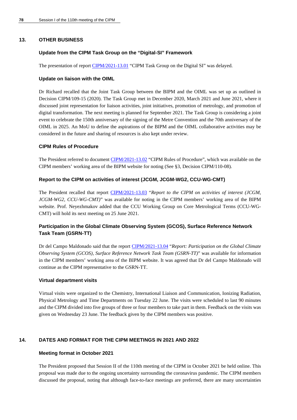#### **13. OTHER BUSINESS**

#### **Update from the CIPM Task Group on the "Digital-SI" Framework**

The presentation of repor[t CIPM/2021-13.01](https://www.bipm.org/documents/20126/56770432/CIPM21-13.01-CIPM-TG-Digital-SI-.zip/3ff61d2d-da2c-f2bd-88e5-33fff385a123) "CIPM Task Group on the Digital SI" was delayed.

#### **Update on liaison with the OIML**

Dr Richard recalled that the Joint Task Group between the BIPM and the OIML was set up as outlined in Decision CIPM/109-15 (2020). The Task Group met in December 2020, March 2021 and June 2021, where it discussed joint representation for liaison activities, joint initiatives, promotion of metrology, and promotion of digital transformation. The next meeting is planned for September 2021. The Task Group is considering a joint event to celebrate the 150th anniversary of the signing of the Metre Convention and the 70th anniversary of the OIML in 2025. An MoU to define the aspirations of the BIPM and the OIML collaborative activities may be considered in the future and sharing of resources is also kept under review.

#### **CIPM Rules of Procedure**

The President referred to document [CIPM/2021-13.02](https://www.bipm.org/documents/20126/53520526/CIPM21-13.02-Rules-of-procedure-.zip/232ed6c1-e0aa-c838-73db-91614c814954) "CIPM Rules of Procedure", which was available on the CIPM members' working area of the BIPM website for noting (See §3, Decision CIPM/110-08).

#### **Report to the CIPM on activities of interest (JCGM, JCGM-WG2, CCU-WG-CMT)**

The President recalled that report [CIPM/2021-13.03](https://www.bipm.org/documents/20126/56892456/CIPM21-13.03-Report_to_CIPM_June_2021_PN.pdf/12b1e990-d8d8-e23d-e56c-cd675f52faba) "*Report to the CIPM on activities of interest (JCGM, JCGM-WG2, CCU-WG-CMT)*" was available for noting in the CIPM members' working area of the BIPM website. Prof. Neyezhmakov added that the CCU Working Group on Core Metrological Terms (CCU-WG-CMT) will hold its next meeting on 25 June 2021.

## **Participation in the Global Climate Observing System (GCOS), Surface Reference Network Task Team (GSRN-TT)**

Dr del Campo Maldonado said that the report [CIPM/2021-13.04](https://www.bipm.org/documents/20126/56971679/CIPM21-13.04-report-110th-CIPM-Session-I-GCOS-GSRN-TT.pdf/7bd8d68d-edad-fbce-52c9-33d0b08783a3) "*Report: Participation on the Global Climate Observing System (GCOS), Surface Reference Network Task Team (GSRN-TT)*" was available for information in the CIPM members' working area of the BIPM website. It was agreed that Dr del Campo Maldonado will continue as the CIPM representative to the GSRN-TT.

#### **Virtual department visits**

Virtual visits were organized to the Chemistry, International Liaison and Communication, Ionizing Radiation, Physical Metrology and Time Departments on Tuesday 22 June. The visits were scheduled to last 90 minutes and the CIPM divided into five groups of three or four members to take part in them. Feedback on the visits was given on Wednesday 23 June. The feedback given by the CIPM members was positive.

### **14. DATES AND FORMAT FOR THE CIPM MEETINGS IN 2021 AND 2022**

#### **Meeting format in October 2021**

The President proposed that Session II of the 110th meeting of the CIPM in October 2021 be held online. This proposal was made due to the ongoing uncertainty surrounding the coronavirus pandemic. The CIPM members discussed the proposal, noting that although face-to-face meetings are preferred, there are many uncertainties